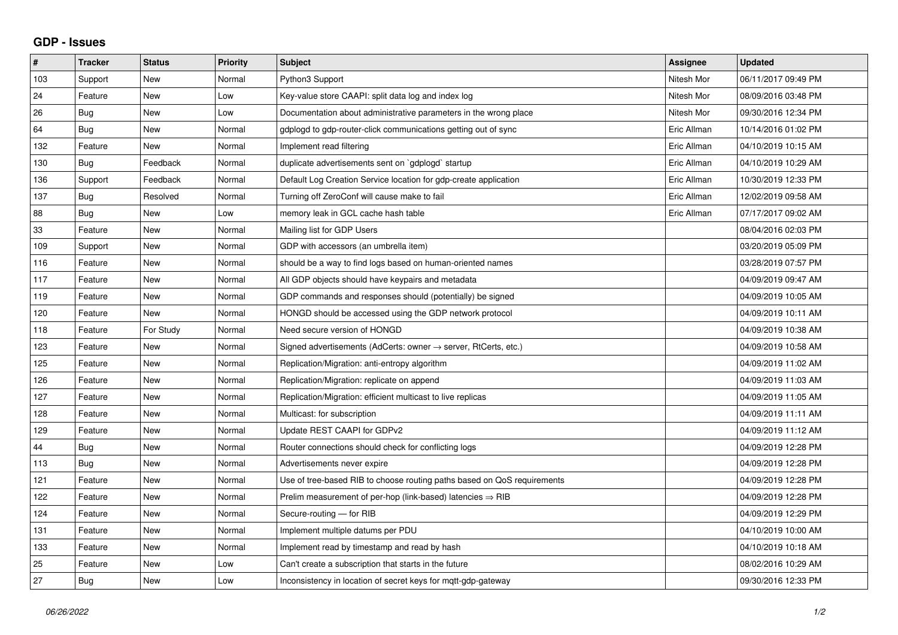## **GDP - Issues**

| $\pmb{\#}$ | <b>Tracker</b> | <b>Status</b> | <b>Priority</b> | <b>Subject</b>                                                             | Assignee    | <b>Updated</b>      |
|------------|----------------|---------------|-----------------|----------------------------------------------------------------------------|-------------|---------------------|
| 103        | Support        | <b>New</b>    | Normal          | Python3 Support                                                            | Nitesh Mor  | 06/11/2017 09:49 PM |
| 24         | Feature        | <b>New</b>    | Low             | Key-value store CAAPI: split data log and index log                        | Nitesh Mor  | 08/09/2016 03:48 PM |
| 26         | <b>Bug</b>     | <b>New</b>    | Low             | Documentation about administrative parameters in the wrong place           | Nitesh Mor  | 09/30/2016 12:34 PM |
| 64         | Bug            | New           | Normal          | gdplogd to gdp-router-click communications getting out of sync             | Eric Allman | 10/14/2016 01:02 PM |
| 132        | Feature        | <b>New</b>    | Normal          | Implement read filtering                                                   | Eric Allman | 04/10/2019 10:15 AM |
| 130        | Bug            | Feedback      | Normal          | duplicate advertisements sent on `gdplogd` startup                         | Eric Allman | 04/10/2019 10:29 AM |
| 136        | Support        | Feedback      | Normal          | Default Log Creation Service location for gdp-create application           | Eric Allman | 10/30/2019 12:33 PM |
| 137        | <b>Bug</b>     | Resolved      | Normal          | Turning off ZeroConf will cause make to fail                               | Eric Allman | 12/02/2019 09:58 AM |
| 88         | Bug            | New           | Low             | memory leak in GCL cache hash table                                        | Eric Allman | 07/17/2017 09:02 AM |
| 33         | Feature        | <b>New</b>    | Normal          | Mailing list for GDP Users                                                 |             | 08/04/2016 02:03 PM |
| 109        | Support        | <b>New</b>    | Normal          | GDP with accessors (an umbrella item)                                      |             | 03/20/2019 05:09 PM |
| 116        | Feature        | <b>New</b>    | Normal          | should be a way to find logs based on human-oriented names                 |             | 03/28/2019 07:57 PM |
| 117        | Feature        | <b>New</b>    | Normal          | All GDP objects should have keypairs and metadata                          |             | 04/09/2019 09:47 AM |
| 119        | Feature        | <b>New</b>    | Normal          | GDP commands and responses should (potentially) be signed                  |             | 04/09/2019 10:05 AM |
| 120        | Feature        | New           | Normal          | HONGD should be accessed using the GDP network protocol                    |             | 04/09/2019 10:11 AM |
| 118        | Feature        | For Study     | Normal          | Need secure version of HONGD                                               |             | 04/09/2019 10:38 AM |
| 123        | Feature        | <b>New</b>    | Normal          | Signed advertisements (AdCerts: owner $\rightarrow$ server, RtCerts, etc.) |             | 04/09/2019 10:58 AM |
| 125        | Feature        | New           | Normal          | Replication/Migration: anti-entropy algorithm                              |             | 04/09/2019 11:02 AM |
| 126        | Feature        | <b>New</b>    | Normal          | Replication/Migration: replicate on append                                 |             | 04/09/2019 11:03 AM |
| 127        | Feature        | <b>New</b>    | Normal          | Replication/Migration: efficient multicast to live replicas                |             | 04/09/2019 11:05 AM |
| 128        | Feature        | New           | Normal          | Multicast: for subscription                                                |             | 04/09/2019 11:11 AM |
| 129        | Feature        | <b>New</b>    | Normal          | Update REST CAAPI for GDPv2                                                |             | 04/09/2019 11:12 AM |
| 44         | Bug            | <b>New</b>    | Normal          | Router connections should check for conflicting logs                       |             | 04/09/2019 12:28 PM |
| 113        | Bug            | New           | Normal          | Advertisements never expire                                                |             | 04/09/2019 12:28 PM |
| 121        | Feature        | <b>New</b>    | Normal          | Use of tree-based RIB to choose routing paths based on QoS requirements    |             | 04/09/2019 12:28 PM |
| 122        | Feature        | <b>New</b>    | Normal          | Prelim measurement of per-hop (link-based) latencies $\Rightarrow$ RIB     |             | 04/09/2019 12:28 PM |
| 124        | Feature        | New           | Normal          | Secure-routing - for RIB                                                   |             | 04/09/2019 12:29 PM |
| 131        | Feature        | <b>New</b>    | Normal          | Implement multiple datums per PDU                                          |             | 04/10/2019 10:00 AM |
| 133        | Feature        | New           | Normal          | Implement read by timestamp and read by hash                               |             | 04/10/2019 10:18 AM |
| 25         | Feature        | <b>New</b>    | Low             | Can't create a subscription that starts in the future                      |             | 08/02/2016 10:29 AM |
| 27         | Bug            | New           | Low             | Inconsistency in location of secret keys for mgtt-gdp-gateway              |             | 09/30/2016 12:33 PM |